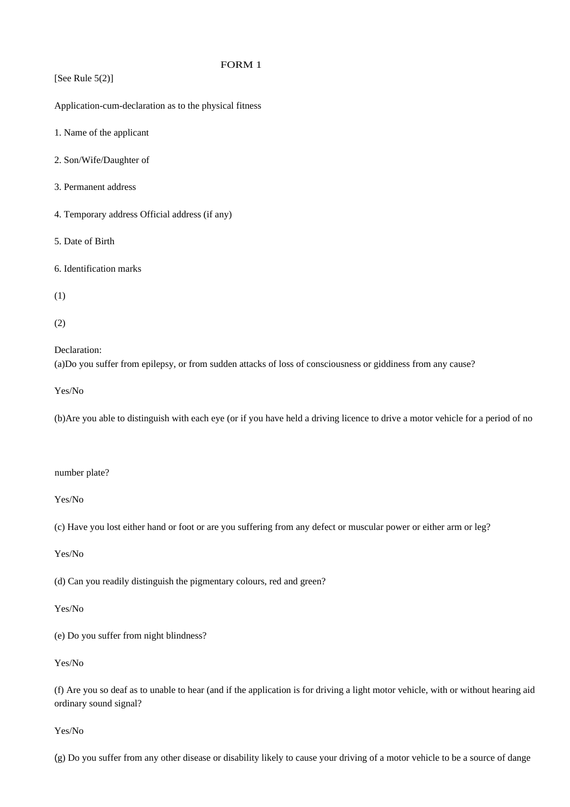[See Rule  $5(2)$ ] Application-cum-declaration as to the physical fitness 1. Name of the applicant 2. Son/Wife/Daughter of 3. Permanent address 4. Temporary address Official address (if any) 5. Date of Birth 6. Identification marks (1) (2) Declaration: (a)Do you suffer from epilepsy, or from sudden attacks of loss of consciousness or giddiness from any cause? Yes/No (b)Are you able to distinguish with each eye (or if you have held a driving licence to drive a motor vehicle for a period of no number plate? Yes/No (c) Have you lost either hand or foot or are you suffering from any defect or muscular power or either arm or leg? Yes/No

(d) Can you readily distinguish the pigmentary colours, red and green?

Yes/No

(e) Do you suffer from night blindness?

Yes/No

(f) Are you so deaf as to unable to hear (and if the application is for driving a light motor vehicle, with or without hearing aid ordinary sound signal?

Yes/No

 $(g)$  Do you suffer from any other disease or disability likely to cause your driving of a motor vehicle to be a source of dange

## FORM 1